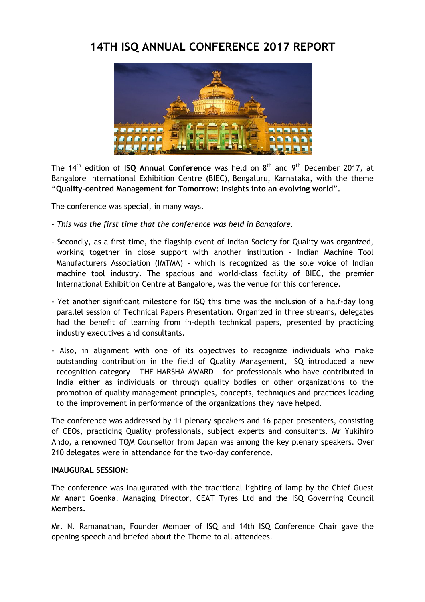## 14TH ISQ ANNUAL CONFERENCE 2017 REPORT



The 14<sup>th</sup> edition of ISQ Annual Conference was held on  $8<sup>th</sup>$  and  $9<sup>th</sup>$  December 2017, at Bangalore International Exhibition Centre (BIEC), Bengaluru, Karnataka, with the theme "Quality-centred Management for Tomorrow: Insights into an evolving world".

The conference was special, in many ways.

- This was the first time that the conference was held in Bangalore.
- Secondly, as a first time, the flagship event of Indian Society for Quality was organized, working together in close support with another institution – Indian Machine Tool Manufacturers Association (IMTMA) - which is recognized as the sole voice of Indian machine tool industry. The spacious and world-class facility of BIEC, the premier International Exhibition Centre at Bangalore, was the venue for this conference.
- Yet another significant milestone for ISQ this time was the inclusion of a half-day long parallel session of Technical Papers Presentation. Organized in three streams, delegates had the benefit of learning from in-depth technical papers, presented by practicing industry executives and consultants.
- Also, in alignment with one of its objectives to recognize individuals who make outstanding contribution in the field of Quality Management, ISQ introduced a new recognition category – THE HARSHA AWARD – for professionals who have contributed in India either as individuals or through quality bodies or other organizations to the promotion of quality management principles, concepts, techniques and practices leading to the improvement in performance of the organizations they have helped.

The conference was addressed by 11 plenary speakers and 16 paper presenters, consisting of CEOs, practicing Quality professionals, subject experts and consultants. Mr Yukihiro Ando, a renowned TQM Counsellor from Japan was among the key plenary speakers. Over 210 delegates were in attendance for the two-day conference.

## INAUGURAL SESSION:

The conference was inaugurated with the traditional lighting of lamp by the Chief Guest Mr Anant Goenka, Managing Director, CEAT Tyres Ltd and the ISQ Governing Council Members.

Mr. N. Ramanathan, Founder Member of ISQ and 14th ISQ Conference Chair gave the opening speech and briefed about the Theme to all attendees.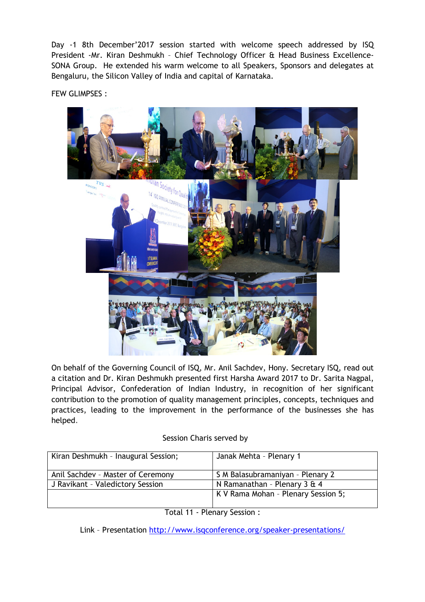Day -1 8th December'2017 session started with welcome speech addressed by ISQ President -Mr. Kiran Deshmukh – Chief Technology Officer & Head Business Excellence-SONA Group. He extended his warm welcome to all Speakers, Sponsors and delegates at Bengaluru, the Silicon Valley of India and capital of Karnataka.

FEW GLIMPSES :



On behalf of the Governing Council of ISQ, Mr. Anil Sachdev, Hony. Secretary ISQ, read out a citation and Dr. Kiran Deshmukh presented first Harsha Award 2017 to Dr. Sarita Nagpal, Principal Advisor, Confederation of Indian Industry, in recognition of her significant contribution to the promotion of quality management principles, concepts, techniques and practices, leading to the improvement in the performance of the businesses she has helped.

Session Charis served by

| Kiran Deshmukh - Inaugural Session; | Janak Mehta - Plenary 1             |
|-------------------------------------|-------------------------------------|
| Anil Sachdev - Master of Ceremony   | S M Balasubramaniyan - Plenary 2    |
| J Ravikant - Valedictory Session    | N Ramanathan - Plenary $3 \& 4$     |
|                                     | K V Rama Mohan - Plenary Session 5; |

Total 11 - Plenary Session :

Link – Presentation http://www.isqconference.org/speaker-presentations/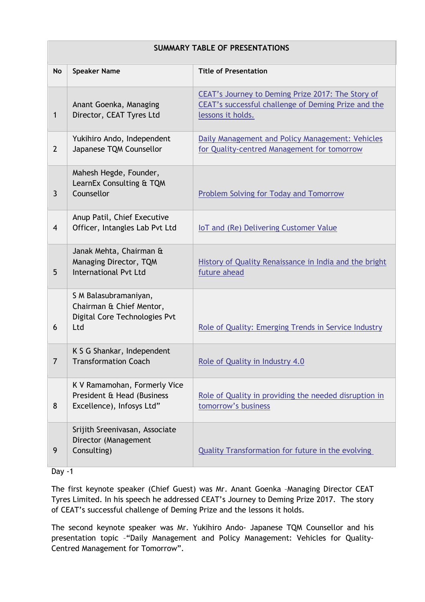| <b>SUMMARY TABLE OF PRESENTATIONS</b> |                                                                                           |                                                                                                                               |
|---------------------------------------|-------------------------------------------------------------------------------------------|-------------------------------------------------------------------------------------------------------------------------------|
| No                                    | <b>Speaker Name</b>                                                                       | <b>Title of Presentation</b>                                                                                                  |
| $\mathbf{1}$                          | Anant Goenka, Managing<br>Director, CEAT Tyres Ltd                                        | CEAT's Journey to Deming Prize 2017: The Story of<br>CEAT's successful challenge of Deming Prize and the<br>lessons it holds. |
| $\overline{2}$                        | Yukihiro Ando, Independent<br>Japanese TQM Counsellor                                     | Daily Management and Policy Management: Vehicles<br>for Quality-centred Management for tomorrow                               |
| $\overline{3}$                        | Mahesh Hegde, Founder,<br>LearnEx Consulting & TQM<br>Counsellor                          | Problem Solving for Today and Tomorrow                                                                                        |
| $\overline{4}$                        | Anup Patil, Chief Executive<br>Officer, Intangles Lab Pvt Ltd                             | IoT and (Re) Delivering Customer Value                                                                                        |
| 5                                     | Janak Mehta, Chairman &<br>Managing Director, TQM<br><b>International Pvt Ltd</b>         | History of Quality Renaissance in India and the bright<br>future ahead                                                        |
| 6                                     | S M Balasubramaniyan,<br>Chairman & Chief Mentor,<br>Digital Core Technologies Pvt<br>Ltd | Role of Quality: Emerging Trends in Service Industry                                                                          |
| 7                                     | K S G Shankar, Independent<br><b>Transformation Coach</b>                                 | Role of Quality in Industry 4.0                                                                                               |
| 8                                     | K V Ramamohan, Formerly Vice<br>President & Head (Business<br>Excellence), Infosys Ltd"   | Role of Quality in providing the needed disruption in<br>tomorrow's business                                                  |
| 9                                     | Srijith Sreenivasan, Associate<br>Director (Management<br>Consulting)                     | Quality Transformation for future in the evolving                                                                             |

## Day -1

The first keynote speaker (Chief Guest) was Mr. Anant Goenka –Managing Director CEAT Tyres Limited. In his speech he addressed CEAT's Journey to Deming Prize 2017. The story of CEAT's successful challenge of Deming Prize and the lessons it holds.

The second keynote speaker was Mr. Yukihiro Ando- Japanese TQM Counsellor and his presentation topic –"Daily Management and Policy Management: Vehicles for Quality-Centred Management for Tomorrow".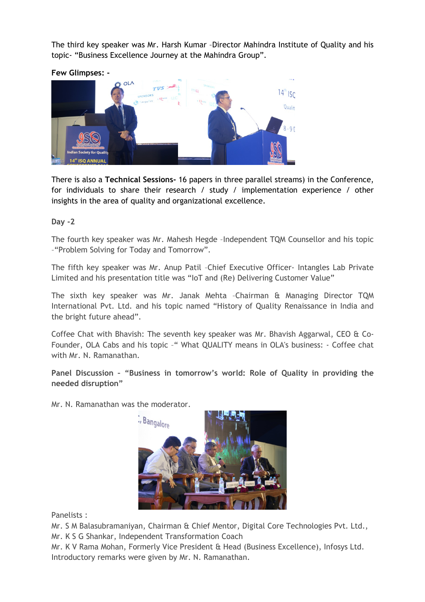The third key speaker was Mr. Harsh Kumar –Director Mahindra Institute of Quality and his topic- "Business Excellence Journey at the Mahindra Group".



There is also a Technical Sessions- 16 papers in three parallel streams) in the Conference, for individuals to share their research / study / implementation experience / other insights in the area of quality and organizational excellence.

## Day -2

The fourth key speaker was Mr. Mahesh Hegde –Independent TQM Counsellor and his topic –"Problem Solving for Today and Tomorrow".

The fifth key speaker was Mr. Anup Patil –Chief Executive Officer- Intangles Lab Private Limited and his presentation title was "IoT and (Re) Delivering Customer Value"

The sixth key speaker was Mr. Janak Mehta –Chairman & Managing Director TQM International Pvt. Ltd. and his topic named "History of Quality Renaissance in India and the bright future ahead".

Coffee Chat with Bhavish: The seventh key speaker was Mr. Bhavish Aggarwal, CEO & Co-Founder, OLA Cabs and his topic -" What QUALITY means in OLA's business: - Coffee chat with Mr. N. Ramanathan.

Panel Discussion – "Business in tomorrow's world: Role of Quality in providing the needed disruption"

Mr. N. Ramanathan was the moderator.



Panelists :

Mr. S M Balasubramaniyan, Chairman & Chief Mentor, Digital Core Technologies Pvt. Ltd., Mr. K S G Shankar, Independent Transformation Coach

Mr. K V Rama Mohan, Formerly Vice President & Head (Business Excellence), Infosys Ltd. Introductory remarks were given by Mr. N. Ramanathan.